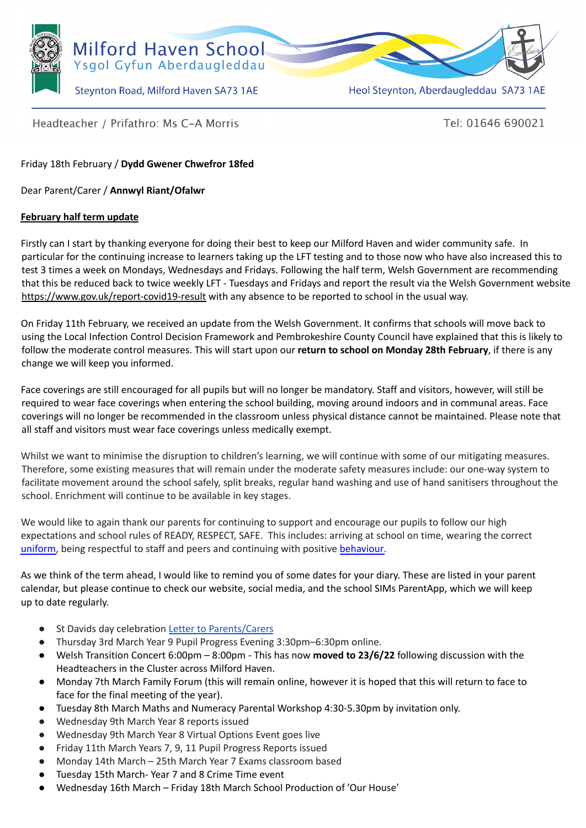

Heol Steynton, Aberdaugleddau SA73 1AE

Headteacher / Prifathro: Ms C-A Morris

Tel: 01646 690021

Friday 18th February / **Dydd Gwener Chwefror 18fed**

Dear Parent/Carer / **Annwyl Riant/Ofalwr**

## **February half term update**

Firstly can I start by thanking everyone for doing their best to keep our Milford Haven and wider community safe. In particular for the continuing increase to learners taking up the LFT testing and to those now who have also increased this to test 3 times a week on Mondays, Wednesdays and Fridays. Following the half term, Welsh Government are recommending that this be reduced back to twice weekly LFT - Tuesdays and Fridays and report the result via the Welsh Government website <https://www.gov.uk/report-covid19-result> with any absence to be reported to school in the usual way.

On Friday 11th February, we received an update from the Welsh Government. It confirms that schools will move back to using the Local Infection Control Decision Framework and Pembrokeshire County Council have explained that this is likely to follow the moderate control measures. This will start upon our **return to school on Monday 28th February**, if there is any change we will keep you informed.

Face coverings are still encouraged for all pupils but will no longer be mandatory. Staff and visitors, however, will still be required to wear face coverings when entering the school building, moving around indoors and in communal areas. Face coverings will no longer be recommended in the classroom unless physical distance cannot be maintained. Please note that all staff and visitors must wear face coverings unless medically exempt.

Whilst we want to minimise the disruption to children's learning, we will continue with some of our mitigating measures. Therefore, some existing measures that will remain under the moderate safety measures include: our one-way system to facilitate movement around the school safely, split breaks, regular hand washing and use of hand sanitisers throughout the school. Enrichment will continue to be available in key stages.

We would like to again thank our parents for continuing to support and encourage our pupils to follow our high expectations and school rules of READY, RESPECT, SAFE. This includes: arriving at school on time, wearing the correct [uniform,](https://milfordhavenschool.co.uk/uniform/) being respectful to staff and peers and continuing with positive [behaviour.](https://issuu.com/mh_school/docs/mhs-positive-engagement-policy-2020.docx)

As we think of the term ahead, I would like to remind you of some dates for your diary. These are listed in your parent calendar, but please continue to check our website, social media, and the school SIMs ParentApp, which we will keep up to date regularly.

- St Davids day celebration Letter to [Parents/Carers](https://milfordhavenschool.co.uk/wp-content/uploads/2022/02/St-Davids-day-Non-uniform-day-.docx.pdf)
- Thursday 3rd March Year 9 Pupil Progress Evening 3:30pm–6:30pm online.
- Welsh Transition Concert 6:00pm 8:00pm This has now **moved to 23/6/22** following discussion with the Headteachers in the Cluster across Milford Haven.
- Monday 7th March Family Forum (this will remain online, however it is hoped that this will return to face to face for the final meeting of the year).
- Tuesday 8th March Maths and Numeracy Parental Workshop 4:30-5.30pm by invitation only.
- Wednesday 9th March Year 8 reports issued
- Wednesday 9th March Year 8 Virtual Options Event goes live
- Friday 11th March Years 7, 9, 11 Pupil Progress Reports issued
- Monday 14th March 25th March Year 7 Exams classroom based
- Tuesday 15th March- Year 7 and 8 Crime Time event
- Wednesday 16th March Friday 18th March School Production of 'Our House'